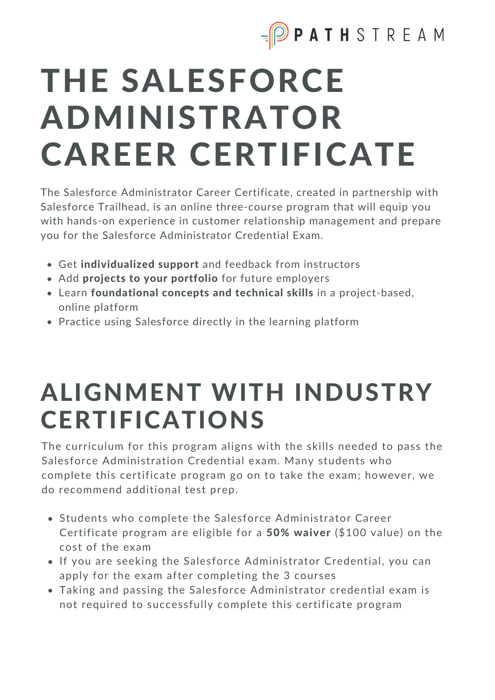

# THE SALESFORCE ADMINISTRATOR CAREER CERTIFICATE

The Salesforce Administrator Career Certificate, created in partnership with Salesforce Trailhead, is an online three-course program that will equip you with hands-on experience in customer relationship management and prepare you for the Salesforce Administrator Credential Exam.

- Get individualized support and feedback from instructors
- Add projects to your portfolio for future employers
- Learn foundational concepts and technical skills in a project-based, online platform
- Practice using Salesforce directly in the learning platform

### ALIGNMENT WITH INDUSTRY CERTIFICATIONS

The curriculum for this program aligns with the skills needed to pass the Salesforce Administration Credential exam. Many students who complete this certificate program go on to take the exam; however, we do recommend additional test prep.

- Students who complete the Salesforce Administrator Career Certificate program are eligible for a 50% waiver (\$100 value) on the cost of the exam
- If you are seeking the Salesforce Administrator Credential, you can apply for the exam after completing the 3 courses
- Taking and passing the Salesforce Administrator credential exam is not required to successfully complete this certificate program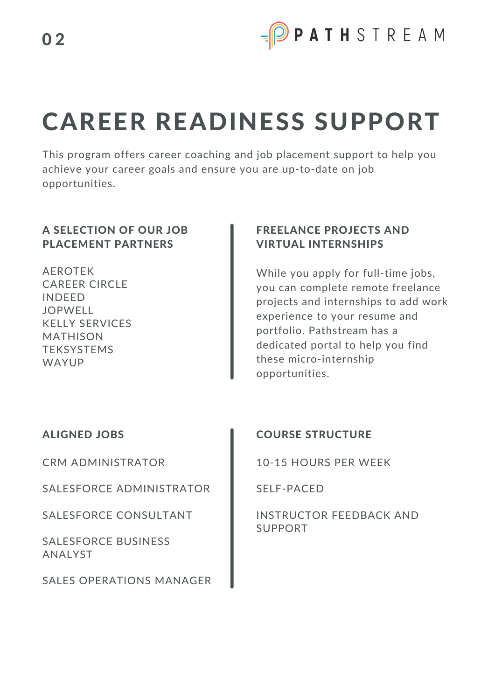

## CAREER READINESS SUPPORT

This program offers career coaching and job placement support to help you achieve your career goals and ensure you are up-to-date on job opportunities.

#### A SELECTION OF OUR JOB PLACEMENT PARTNERS

AEROTEK CAREER CIRCLE INDEED JOPWELL KELLY SERVICES MATHISON **TEKSYSTEMS** WAYUP

#### FREELANCE PROJECTS AND VIRTUAL INTERNSHIPS

While you apply for full-time jobs, you can complete remote freelance projects and internships to add work experience to your resume and portfolio. Pathstream has a dedicated portal to help you find these micro-internship opportunities.

#### ALIGNED JOBS

CRM ADMINISTRATOR

SALESFORCE ADMINISTRATOR

SALESFORCE CONSULTANT

SALESFORCE BUSINESS ANALYST

SALES OPERATIONS MANAGER

#### COURSE STRUCTURE

10-15 HOURS PER WEEK

SELF-PACED

INSTRUCTOR FEEDBACK AND SUPPORT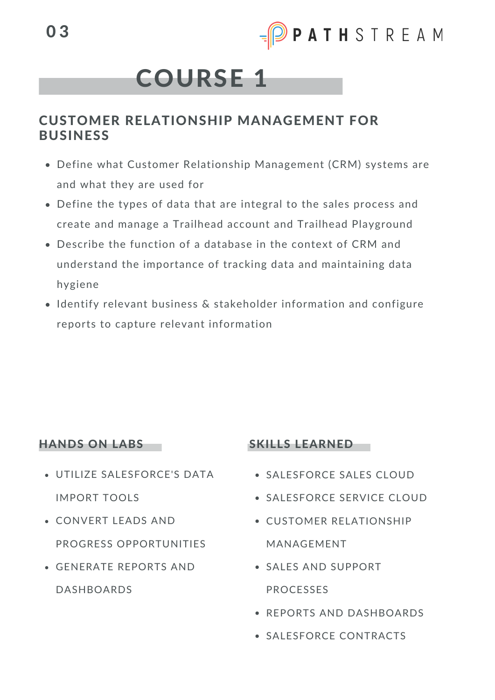### COURSE 1

#### CUSTOMER RELATIONSHIP MANAGEMENT FOR BUSINESS

- Define what Customer Relationship Management (CRM) systems are and what they are used for
- Define the types of data that are integral to the sales process and create and manage a Trailhead account and Trailhead Playground
- Describe the function of a database in the context of CRM and understand the importance of tracking data and maintaining data hygiene
- Identify relevant business & stakeholder information and configure reports to capture relevant information

#### HANDS ON LABS

- UTILIZE SALESFORCE'S DATA IMPORT TOOLS
- CONVERT LEADS AND PROGRESS OPPORTUNITIES
- GENERATE REPORTS AND DASHBOARDS

#### SKILLS LEARNED

- SALESFORCE SALES CLOUD
- **. SALESFORCE SERVICE CLOUD**
- CUSTOMER RELATIONSHIP MANAGEMENT
- SALES AND SUPPORT PROCESSES
- REPORTS AND DASHBOARDS
- SALESFORCE CONTRACTS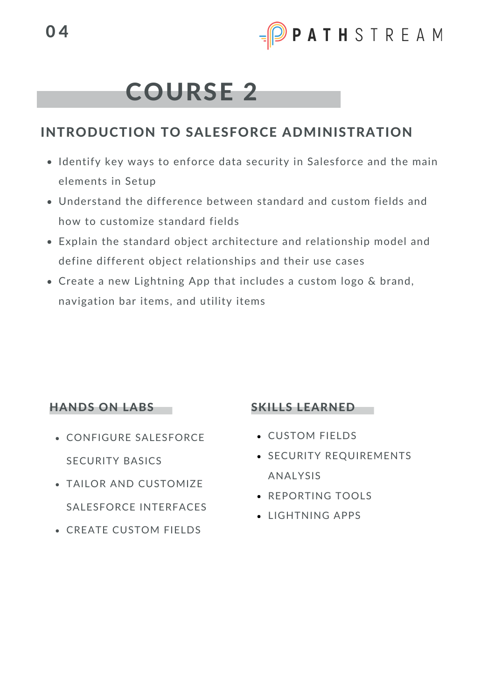### COURSE 2

#### INTRODUCTION TO SALESFORCE ADMINISTRATION

- Identify key ways to enforce data security in Salesforce and the main elements in Setup
- Understand the difference between standard and custom fields and how to customize standard fields
- Explain the standard object architecture and relationship model and define different object relationships and their use cases
- Create a new Lightning App that includes a custom logo & brand, navigation bar items, and utility items

#### HANDS ON LABS

- CONFIGURE SALESFORCE SECURITY BASICS
- TAILOR AND CUSTOMIZE SALESFORCE INTERFACES
- CREATE CUSTOM FIELDS

#### SKILLS LEARNED

- CUSTOM FIELDS
- **SECURITY REQUIREMENTS** ANALYSIS
- **REPORTING TOOLS**
- LIGHTNING APPS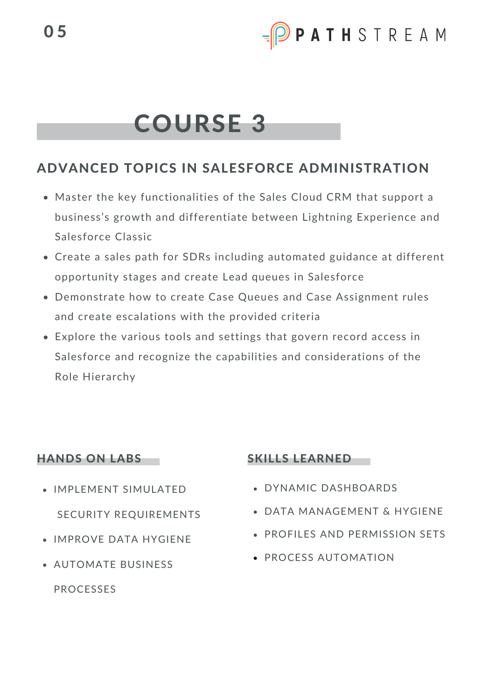### COURSE 3

#### ADVANCED TOPICS IN SALESFORCE ADMINISTRATION

- Master the key functionalities of the Sales Cloud CRM that support a business's growth and differentiate between Lightning Experience and Salesforce Classic
- Create a sales path for SDRs including automated guidance at different opportunity stages and create Lead queues in Salesforce
- Demonstrate how to create Case Queues and Case Assignment rules and create escalations with the provided criteria
- Explore the various tools and settings that govern record access in Salesforce and recognize the capabilities and considerations of the Role Hierarchy

#### HANDS ON LABS

- IMPLEMENT SIMULATED SECURITY REQUIREMENTS
- IMPROVE DATA HYGIENE
- AUTOMATE BUSINESS

PROCESSES

#### SKILLS LEARNED

- DYNAMIC DASHBOARDS
- DATA MANAGEMENT & HYGIENE
- **PROFILES AND PERMISSION SETS**
- **PROCESS AUTOMATION**